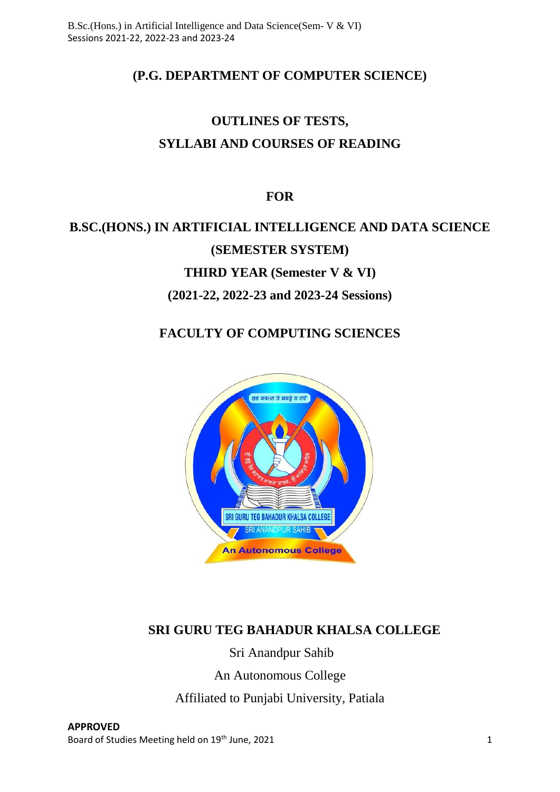# **(P.G. DEPARTMENT OF COMPUTER SCIENCE)**

# **OUTLINES OF TESTS, SYLLABI AND COURSES OF READING**

# **FOR**

# **B.SC.(HONS.) IN ARTIFICIAL INTELLIGENCE AND DATA SCIENCE (SEMESTER SYSTEM) THIRD YEAR (Semester V & VI)**

# **(2021-22, 2022-23 and 2023-24 Sessions)**

# **FACULTY OF COMPUTING SCIENCES**



# **SRI GURU TEG BAHADUR KHALSA COLLEGE**

Sri Anandpur Sahib

An Autonomous College

Affiliated to Punjabi University, Patiala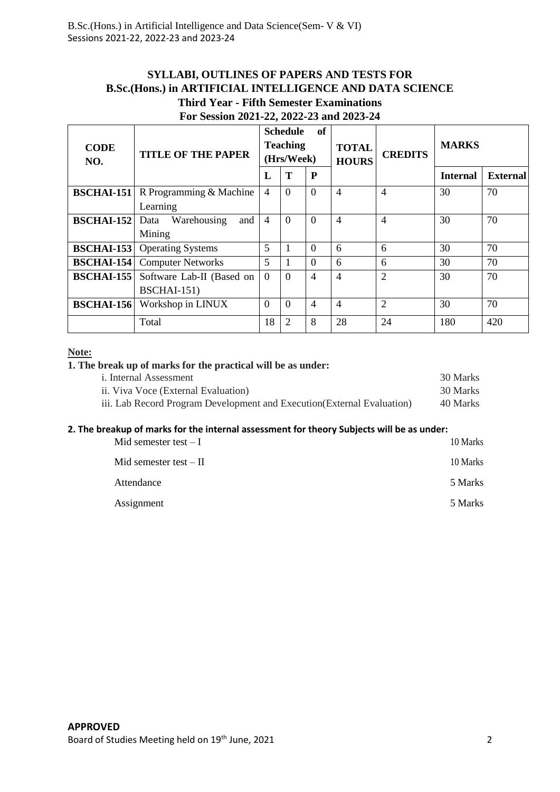#### **SYLLABI, OUTLINES OF PAPERS AND TESTS FOR B.Sc.(Hons.) in ARTIFICIAL INTELLIGENCE AND DATA SCIENCE Third Year - Fifth Semester Examinations For Session 2021-22, 2022-23 and 2023-24**

| <b>CODE</b><br>NO. | <b>TITLE OF THE PAPER</b>                | of<br><b>Schedule</b><br><b>Teaching</b><br>(Hrs/Week) |                |                | <b>TOTAL</b><br><b>HOURS</b> | <b>CREDITS</b> | <b>MARKS</b>    |                 |
|--------------------|------------------------------------------|--------------------------------------------------------|----------------|----------------|------------------------------|----------------|-----------------|-----------------|
|                    |                                          | L                                                      | Т              | P              |                              |                | <b>Internal</b> | <b>External</b> |
| <b>BSCHAI-151</b>  | R Programming & Machine                  | $\overline{4}$                                         | $\Omega$       | $\Omega$       | 4                            | 4              | 30              | 70              |
|                    | Learning                                 |                                                        |                |                |                              |                |                 |                 |
| <b>BSCHAI-152</b>  | Warehousing<br>Data<br>and               | $\overline{4}$                                         | $\Omega$       | $\Omega$       | 4                            | 4              | 30              | 70              |
|                    | Mining                                   |                                                        |                |                |                              |                |                 |                 |
| <b>BSCHAI-153</b>  | <b>Operating Systems</b>                 | 5                                                      |                | $\Omega$       | 6                            | 6              | 30              | 70              |
| <b>BSCHAI-154</b>  | <b>Computer Networks</b>                 | 5                                                      |                | $\Omega$       | 6                            | 6              | 30              | 70              |
| <b>BSCHAI-155</b>  | Software Lab-II (Based on<br>BSCHAI-151) | $\Omega$                                               | $\Omega$       | $\overline{4}$ | 4                            | $\overline{2}$ | 30              | 70              |
| <b>BSCHAI-156</b>  | Workshop in LINUX                        | $\overline{0}$                                         | $\overline{0}$ | $\overline{4}$ | $\overline{4}$               | $\overline{2}$ | 30              | 70              |
|                    | Total                                    | 18                                                     | 2              | 8              | 28                           | 24             | 180             | 420             |

#### **Note:**

#### **1. The break up of marks for the practical will be as under:**

| <i>i</i> . Internal Assessment                                          | 30 Marks |
|-------------------------------------------------------------------------|----------|
| ii. Viva Voce (External Evaluation)                                     | 30 Marks |
| iii. Lab Record Program Development and Execution (External Evaluation) | 40 Marks |

#### **2. The breakup of marks for the internal assessment for theory Subjects will be as under:**

| Mid semester test $-I$  | 10 Marks |
|-------------------------|----------|
| Mid semester test $-II$ | 10 Marks |
| Attendance              | 5 Marks  |
| Assignment              | 5 Marks  |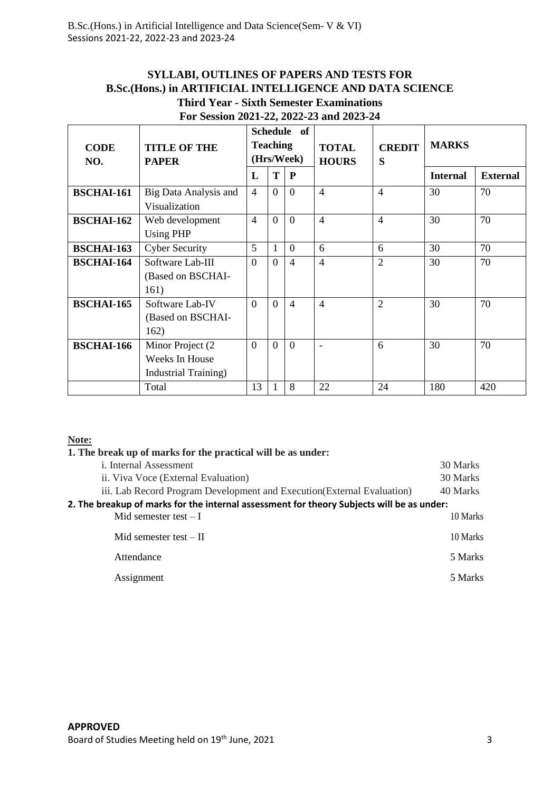#### **SYLLABI, OUTLINES OF PAPERS AND TESTS FOR B.Sc.(Hons.) in ARTIFICIAL INTELLIGENCE AND DATA SCIENCE Third Year - Sixth Semester Examinations For Session 2021-22, 2022-23 and 2023-24**

| <b>CODE</b><br>NO. | <b>TITLE OF THE</b><br><b>PAPER</b>                                 | <b>Schedule</b><br>of<br><b>Teaching</b><br>(Hrs/Week) |                |                | <b>TOTAL</b><br><b>HOURS</b> | <b>CREDIT</b><br>S | <b>MARKS</b>    |                 |
|--------------------|---------------------------------------------------------------------|--------------------------------------------------------|----------------|----------------|------------------------------|--------------------|-----------------|-----------------|
|                    |                                                                     | $\mathbf{L}$                                           | T              | P              |                              |                    | <b>Internal</b> | <b>External</b> |
| <b>BSCHAI-161</b>  | Big Data Analysis and<br>Visualization                              | $\overline{4}$                                         | $\theta$       | $\Omega$       | $\overline{4}$               | $\overline{4}$     | 30              | 70              |
| <b>BSCHAI-162</b>  | Web development<br><b>Using PHP</b>                                 | $\overline{4}$                                         | $\theta$       | $\Omega$       | $\overline{4}$               | $\overline{4}$     | 30              | 70              |
| <b>BSCHAI-163</b>  | <b>Cyber Security</b>                                               | 5                                                      | 1              | $\Omega$       | 6                            | 6                  | 30              | 70              |
| <b>BSCHAI-164</b>  | Software Lab-III<br>(Based on BSCHAI-<br>161)                       | $\Omega$                                               | $\Omega$       | $\overline{4}$ | $\overline{4}$               | $\overline{2}$     | 30              | 70              |
| <b>BSCHAI-165</b>  | Software Lab-IV<br>(Based on BSCHAI-<br>162)                        | $\theta$                                               | $\Omega$       | $\overline{4}$ | $\overline{4}$               | $\overline{2}$     | 30              | 70              |
| <b>BSCHAI-166</b>  | Minor Project (2)<br>Weeks In House<br><b>Industrial Training</b> ) | $\overline{0}$                                         | $\overline{0}$ | $\theta$       | $\overline{\phantom{a}}$     | 6                  | 30              | 70              |
|                    | Total                                                               | 13                                                     |                | 8              | 22                           | 24                 | 180             | 420             |

#### **Note:**

#### **1. The break up of marks for the practical will be as under:**

| <i>i</i> . Internal Assessment                                                            | 30 Marks |
|-------------------------------------------------------------------------------------------|----------|
| ii. Viva Voce (External Evaluation)                                                       | 30 Marks |
| iii. Lab Record Program Development and Execution (External Evaluation)                   | 40 Marks |
| 2. The breakup of marks for the internal assessment for theory Subjects will be as under: |          |
| Mid semester test $-I$                                                                    | 10 Marks |
| Mid semester test $-$ II                                                                  | 10 Marks |
| Attendance                                                                                | 5 Marks  |
| Assignment                                                                                | 5 Marks  |
|                                                                                           |          |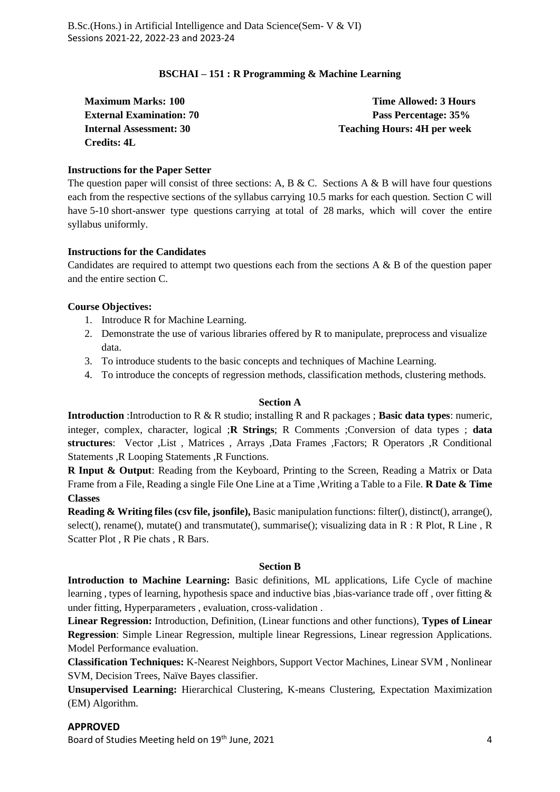#### **BSCHAI – 151 : R Programming & Machine Learning**

| <b>Maximum Marks: 100</b>       | Time Allowed: 3 Hours              |
|---------------------------------|------------------------------------|
| <b>External Examination: 70</b> | Pass Percentage: 35%               |
| Internal Assessment: 30         | <b>Teaching Hours: 4H per week</b> |
| <b>Credits: 4L</b>              |                                    |

#### **Instructions for the Paper Setter**

The question paper will consist of three sections: A, B & C. Sections A & B will have four questions each from the respective sections of the syllabus carrying 10.5 marks for each question. Section C will have 5-10 short-answer type questions carrying at total of 28 marks, which will cover the entire syllabus uniformly.

#### **Instructions for the Candidates**

Candidates are required to attempt two questions each from the sections A & B of the question paper and the entire section C.

#### **Course Objectives:**

- 1. Introduce R for Machine Learning.
- 2. Demonstrate the use of various libraries offered by R to manipulate, preprocess and visualize data.
- 3. To introduce students to the basic concepts and techniques of Machine Learning.
- 4. To introduce the concepts of regression methods, classification methods, clustering methods.

#### **Section A**

**Introduction** :Introduction to R & R studio; installing R and R packages ; **Basic data types**: numeric, integer, complex, character, logical ;**R Strings**; R Comments ;Conversion of data types ; **data structures**: Vector ,List , Matrices , Arrays ,Data Frames ,Factors; R Operators ,R Conditional Statements ,R Looping Statements ,R Functions.

**R Input & Output**: Reading from the Keyboard, Printing to the Screen, Reading a Matrix or Data Frame from a File, Reading a single File One Line at a Time ,Writing a Table to a File. **R Date & Time Classes**

**Reading & Writing files (csv file, jsonfile),** Basic manipulation functions: filter(), distinct(), arrange(), select(), rename(), mutate() and transmutate(), summarise(); visualizing data in R : R Plot, R Line , R Scatter Plot , R Pie chats , R Bars.

#### **Section B**

**Introduction to Machine Learning:** Basic definitions, ML applications, Life Cycle of machine learning, types of learning, hypothesis space and inductive bias, bias-variance trade off, over fitting & under fitting, Hyperparameters , evaluation, cross-validation .

**Linear Regression:** Introduction, Definition, (Linear functions and other functions), **Types of Linear Regression**: Simple Linear Regression, multiple linear Regressions, Linear regression Applications. Model Performance evaluation.

**Classification Techniques:** K-Nearest Neighbors, Support Vector Machines, Linear SVM , Nonlinear SVM, Decision Trees, Naïve Bayes classifier.

**Unsupervised Learning:** Hierarchical Clustering, K-means Clustering, Expectation Maximization (EM) Algorithm.

#### **APPROVED**

Board of Studies Meeting held on 19<sup>th</sup> June, 2021 4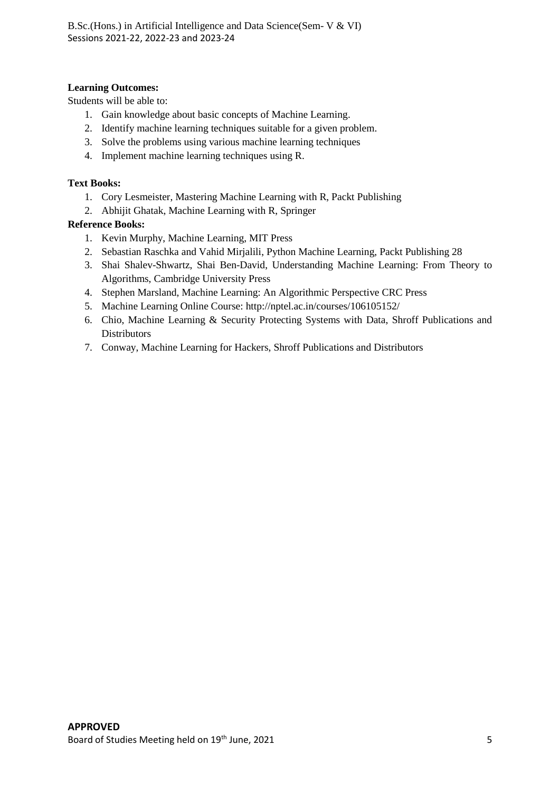#### **Learning Outcomes:**

Students will be able to:

- 1. Gain knowledge about basic concepts of Machine Learning.
- 2. Identify machine learning techniques suitable for a given problem.
- 3. Solve the problems using various machine learning techniques
- 4. Implement machine learning techniques using R.

#### **Text Books:**

- 1. Cory Lesmeister, Mastering Machine Learning with R, Packt Publishing
- 2. Abhijit Ghatak, Machine Learning with R, Springer

- 1. Kevin Murphy, Machine Learning, MIT Press
- 2. Sebastian Raschka and Vahid Mirjalili, Python Machine Learning, Packt Publishing 28
- 3. Shai Shalev-Shwartz, Shai Ben-David, Understanding Machine Learning: From Theory to Algorithms, Cambridge University Press
- 4. Stephen Marsland, Machine Learning: An Algorithmic Perspective CRC Press
- 5. Machine Learning Online Course: http://nptel.ac.in/courses/106105152/
- 6. Chio, Machine Learning & Security Protecting Systems with Data, Shroff Publications and **Distributors**
- 7. Conway, Machine Learning for Hackers, Shroff Publications and Distributors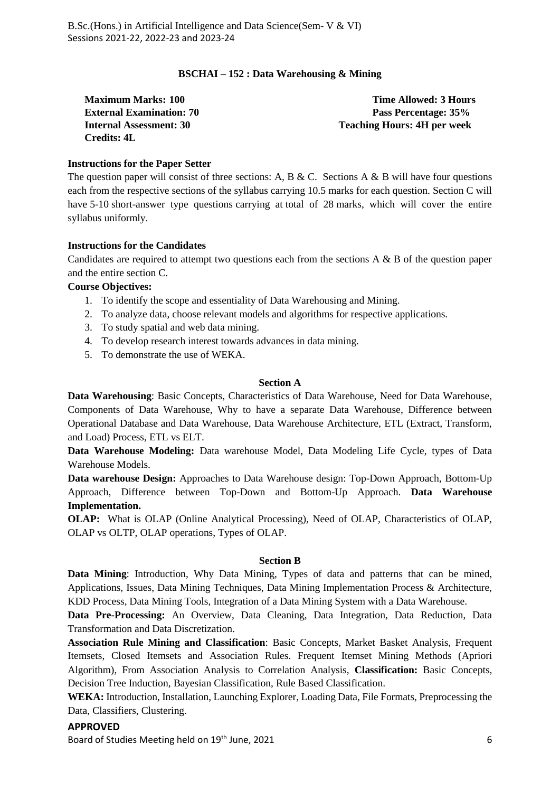#### **BSCHAI – 152 : Data Warehousing & Mining**

| <b>Maximum Marks: 100</b>       | Time Allowed: 3 Hours              |
|---------------------------------|------------------------------------|
| <b>External Examination: 70</b> | Pass Percentage: 35%               |
| <b>Internal Assessment: 30</b>  | <b>Teaching Hours: 4H per week</b> |
| <b>Credits: 4L</b>              |                                    |

#### **Instructions for the Paper Setter**

The question paper will consist of three sections: A, B & C. Sections A & B will have four questions each from the respective sections of the syllabus carrying 10.5 marks for each question. Section C will have 5-10 short-answer type questions carrying at total of 28 marks, which will cover the entire syllabus uniformly.

#### **Instructions for the Candidates**

Candidates are required to attempt two questions each from the sections  $A \& B$  of the question paper and the entire section C.

#### **Course Objectives:**

- 1. To identify the scope and essentiality of Data Warehousing and Mining.
- 2. To analyze data, choose relevant models and algorithms for respective applications.
- 3. To study spatial and web data mining.
- 4. To develop research interest towards advances in data mining.
- 5. To demonstrate the use of WEKA.

#### **Section A**

**Data Warehousing**: Basic Concepts, Characteristics of Data Warehouse, Need for Data Warehouse, Components of Data Warehouse, Why to have a separate Data Warehouse, Difference between Operational Database and Data Warehouse, Data Warehouse Architecture, ETL (Extract, Transform, and Load) Process, ETL vs ELT.

**Data Warehouse Modeling:** Data warehouse Model, Data Modeling Life Cycle, types of Data Warehouse Models.

**Data warehouse Design:** Approaches to Data Warehouse design: Top-Down Approach, Bottom-Up Approach, Difference between Top-Down and Bottom-Up Approach. **Data Warehouse Implementation.**

**OLAP:** What is OLAP (Online Analytical Processing), Need of OLAP, Characteristics of OLAP, OLAP vs OLTP, OLAP operations, Types of OLAP.

#### **Section B**

**Data Mining**: Introduction, Why Data Mining, Types of data and patterns that can be mined, Applications, Issues, Data Mining Techniques, Data Mining Implementation Process & Architecture, KDD Process, Data Mining Tools, Integration of a Data Mining System with a Data Warehouse.

**Data Pre-Processing:** An Overview, Data Cleaning, Data Integration, Data Reduction, Data Transformation and Data Discretization.

**Association Rule Mining and Classification**: Basic Concepts, Market Basket Analysis, Frequent Itemsets, Closed Itemsets and Association Rules. Frequent Itemset Mining Methods (Apriori Algorithm), From Association Analysis to Correlation Analysis, **Classification:** Basic Concepts, Decision Tree Induction, Bayesian Classification, Rule Based Classification.

**WEKA:** Introduction, Installation, Launching Explorer, Loading Data, File Formats, Preprocessing the Data, Classifiers, Clustering.

**APPROVED** Board of Studies Meeting held on 19<sup>th</sup> June, 2021 6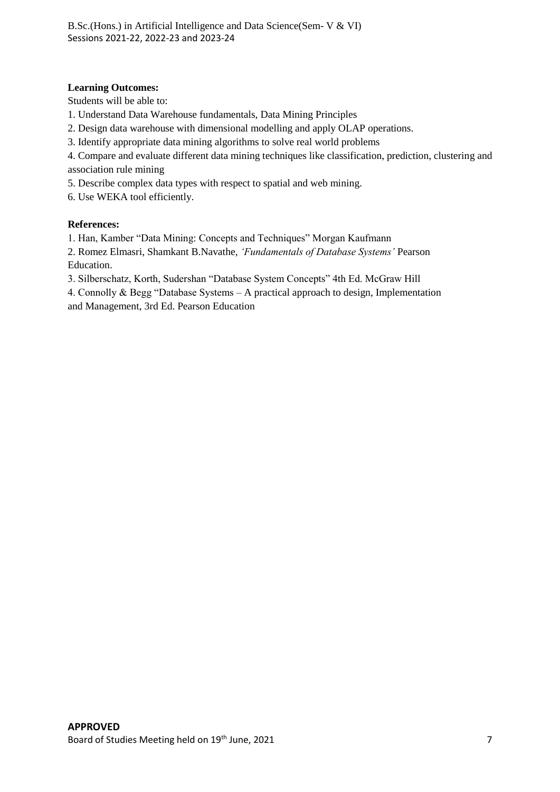#### **Learning Outcomes:**

Students will be able to:

- 1. Understand Data Warehouse fundamentals, Data Mining Principles
- 2. Design data warehouse with dimensional modelling and apply OLAP operations.
- 3. Identify appropriate data mining algorithms to solve real world problems

4. Compare and evaluate different data mining techniques like classification, prediction, clustering and association rule mining

5. Describe complex data types with respect to spatial and web mining.

6. Use WEKA tool efficiently.

#### **References:**

1. Han, Kamber "Data Mining: Concepts and Techniques" Morgan Kaufmann

2. Romez Elmasri, Shamkant B.Navathe, *'Fundamentals of Database Systems'* Pearson Education.

3. Silberschatz, Korth, Sudershan "Database System Concepts" 4th Ed. McGraw Hill

4. Connolly & Begg "Database Systems – A practical approach to design, Implementation and Management, 3rd Ed. Pearson Education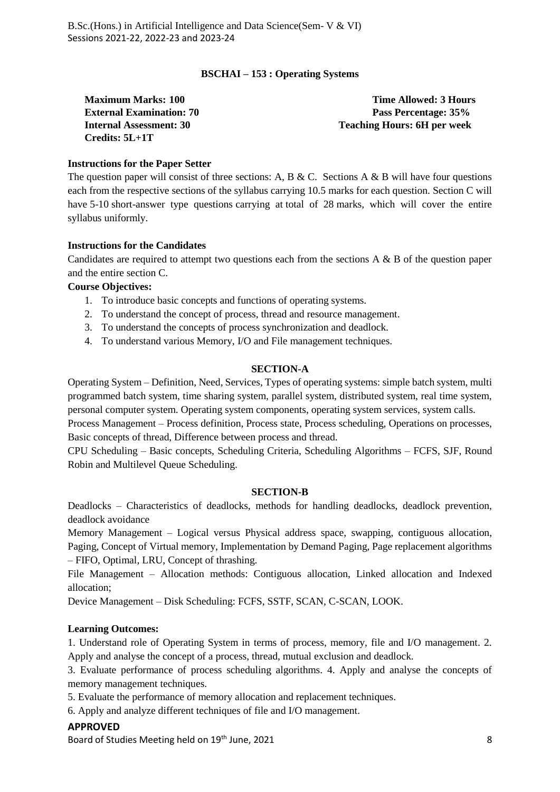#### **BSCHAI – 153 : Operating Systems**

**Credits: 5L+1T**

**Maximum Marks: 100 Time Allowed: 3 Hours External Examination: 70 Pass Percentage: 35% Internal Assessment: 30 Teaching Hours: 6H per week**

#### **Instructions for the Paper Setter**

The question paper will consist of three sections: A, B & C. Sections A & B will have four questions each from the respective sections of the syllabus carrying 10.5 marks for each question. Section C will have 5-10 short-answer type questions carrying at total of 28 marks, which will cover the entire syllabus uniformly.

#### **Instructions for the Candidates**

Candidates are required to attempt two questions each from the sections  $A \& B$  of the question paper and the entire section C.

#### **Course Objectives:**

- 1. To introduce basic concepts and functions of operating systems.
- 2. To understand the concept of process, thread and resource management.
- 3. To understand the concepts of process synchronization and deadlock.
- 4. To understand various Memory, I/O and File management techniques.

#### **SECTION-A**

Operating System – Definition, Need, Services, Types of operating systems: simple batch system, multi programmed batch system, time sharing system, parallel system, distributed system, real time system, personal computer system. Operating system components, operating system services, system calls.

Process Management – Process definition, Process state, Process scheduling, Operations on processes, Basic concepts of thread, Difference between process and thread.

CPU Scheduling – Basic concepts, Scheduling Criteria, Scheduling Algorithms – FCFS, SJF, Round Robin and Multilevel Queue Scheduling.

#### **SECTION-B**

Deadlocks – Characteristics of deadlocks, methods for handling deadlocks, deadlock prevention, deadlock avoidance

Memory Management – Logical versus Physical address space, swapping, contiguous allocation, Paging, Concept of Virtual memory, Implementation by Demand Paging, Page replacement algorithms – FIFO, Optimal, LRU, Concept of thrashing.

File Management – Allocation methods: Contiguous allocation, Linked allocation and Indexed allocation;

Device Management – Disk Scheduling: FCFS, SSTF, SCAN, C-SCAN, LOOK.

#### **Learning Outcomes:**

1. Understand role of Operating System in terms of process, memory, file and I/O management. 2. Apply and analyse the concept of a process, thread, mutual exclusion and deadlock.

3. Evaluate performance of process scheduling algorithms. 4. Apply and analyse the concepts of memory management techniques.

5. Evaluate the performance of memory allocation and replacement techniques.

6. Apply and analyze different techniques of file and I/O management.

#### **APPROVED**

Board of Studies Meeting held on 19<sup>th</sup> June, 2021 **8** and the studies of the studies of the studies of the studies of the studies of the studies of the studies of the studies of the studies of the studies of the studies o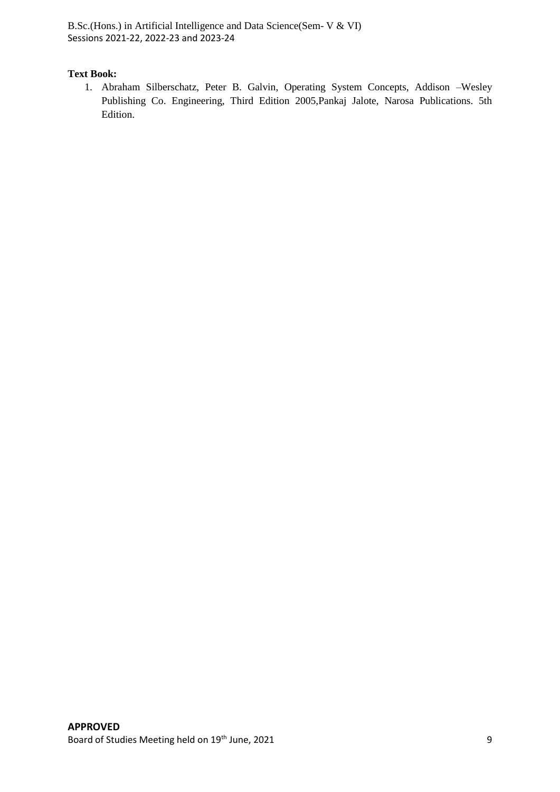#### **Text Book:**

1. Abraham Silberschatz, Peter B. Galvin, Operating System Concepts, Addison –Wesley Publishing Co. Engineering, Third Edition 2005,Pankaj Jalote, Narosa Publications. 5th Edition.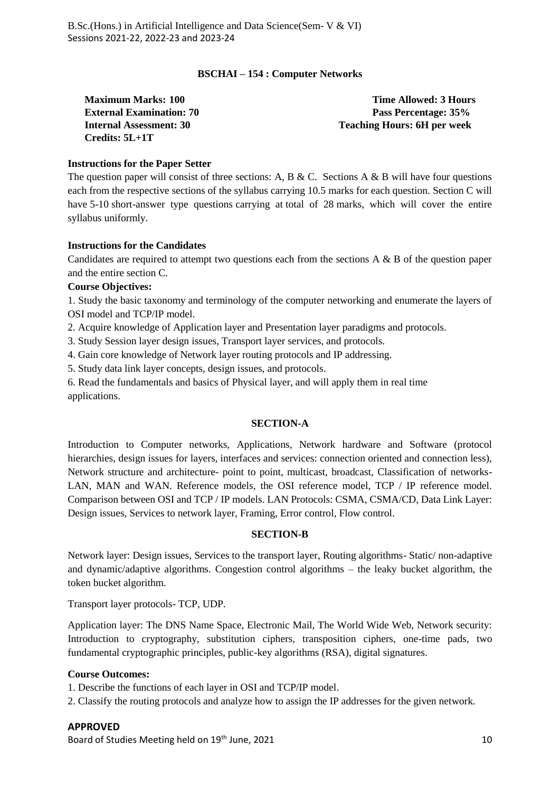#### **BSCHAI – 154 : Computer Networks**

**Credits: 5L+1T**

**Maximum Marks: 100 Time Allowed: 3 Hours External Examination: 70 Pass Percentage: 35% Internal Assessment: 30 Teaching Hours: 6H per week**

#### **Instructions for the Paper Setter**

The question paper will consist of three sections: A, B & C. Sections A & B will have four questions each from the respective sections of the syllabus carrying 10.5 marks for each question. Section C will have 5-10 short-answer type questions carrying at total of 28 marks, which will cover the entire syllabus uniformly.

#### **Instructions for the Candidates**

Candidates are required to attempt two questions each from the sections  $A \& B$  of the question paper and the entire section C.

#### **Course Objectives:**

1. Study the basic taxonomy and terminology of the computer networking and enumerate the layers of OSI model and TCP/IP model.

2. Acquire knowledge of Application layer and Presentation layer paradigms and protocols.

3. Study Session layer design issues, Transport layer services, and protocols.

4. Gain core knowledge of Network layer routing protocols and IP addressing.

5. Study data link layer concepts, design issues, and protocols.

6. Read the fundamentals and basics of Physical layer, and will apply them in real time applications.

#### **SECTION-A**

Introduction to Computer networks, Applications, Network hardware and Software (protocol hierarchies, design issues for layers, interfaces and services: connection oriented and connection less), Network structure and architecture- point to point, multicast, broadcast, Classification of networks-LAN, MAN and WAN. Reference models, the OSI reference model, TCP / IP reference model. Comparison between OSI and TCP / IP models. LAN Protocols: CSMA, CSMA/CD, Data Link Layer: Design issues, Services to network layer, Framing, Error control, Flow control.

#### **SECTION-B**

Network layer: Design issues, Services to the transport layer, Routing algorithms- Static/ non-adaptive and dynamic/adaptive algorithms. Congestion control algorithms – the leaky bucket algorithm, the token bucket algorithm.

Transport layer protocols- TCP, UDP.

Application layer: The DNS Name Space, Electronic Mail, The World Wide Web, Network security: Introduction to cryptography, substitution ciphers, transposition ciphers, one-time pads, two fundamental cryptographic principles, public-key algorithms (RSA), digital signatures.

#### **Course Outcomes:**

1. Describe the functions of each layer in OSI and TCP/IP model.

2. Classify the routing protocols and analyze how to assign the IP addresses for the given network.

#### **APPROVED**

Board of Studies Meeting held on 19<sup>th</sup> June, 2021 10 and the studies of the studies of the studies of the studies of the studies of the studies of the studies of the studies of the studies of the studies of the studies of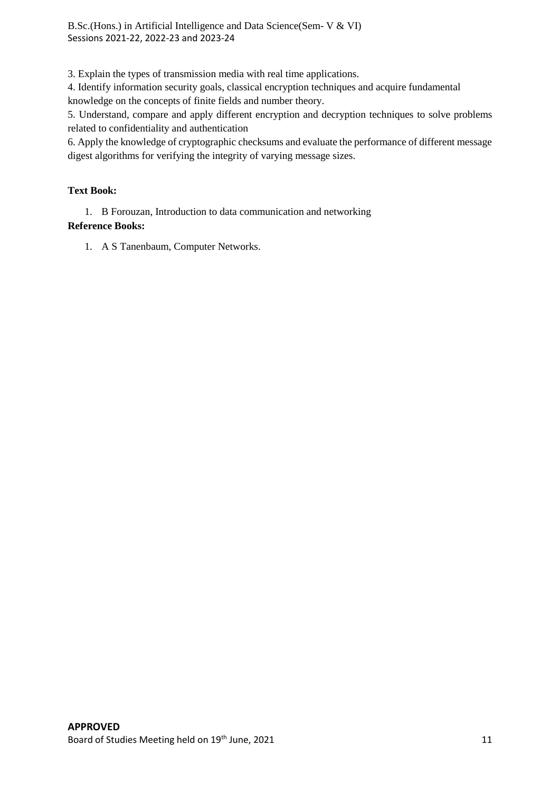3. Explain the types of transmission media with real time applications.

4. Identify information security goals, classical encryption techniques and acquire fundamental knowledge on the concepts of finite fields and number theory.

5. Understand, compare and apply different encryption and decryption techniques to solve problems related to confidentiality and authentication

6. Apply the knowledge of cryptographic checksums and evaluate the performance of different message digest algorithms for verifying the integrity of varying message sizes.

#### **Text Book:**

1. B Forouzan, Introduction to data communication and networking **Reference Books:**

1. A S Tanenbaum, Computer Networks.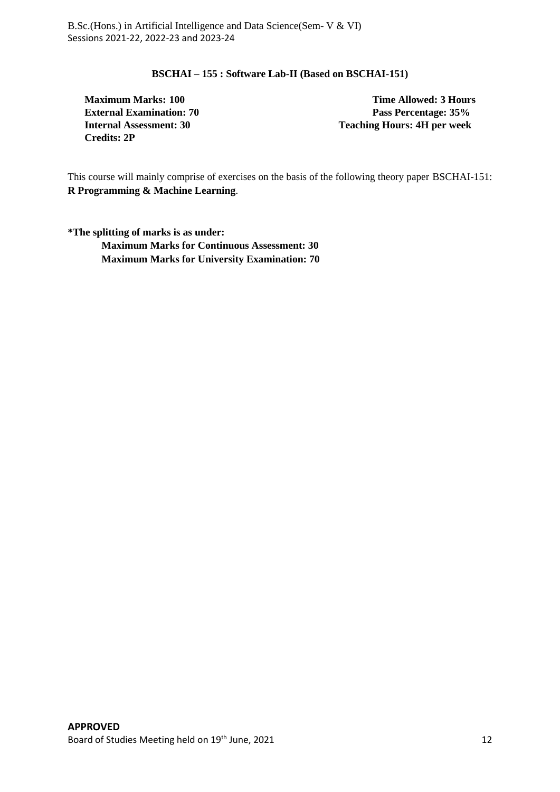#### **BSCHAI – 155 : Software Lab-II (Based on BSCHAI-151)**

**Maximum Marks: 100 Time Allowed: 3 Hours Credits: 2P**

**External Examination: 70 Pass Percentage: 35% Internal Assessment: 30 Teaching Hours: 4H per week**

This course will mainly comprise of exercises on the basis of the following theory paper BSCHAI-151: **R Programming & Machine Learning**.

**\*The splitting of marks is as under: Maximum Marks for Continuous Assessment: 30 Maximum Marks for University Examination: 70**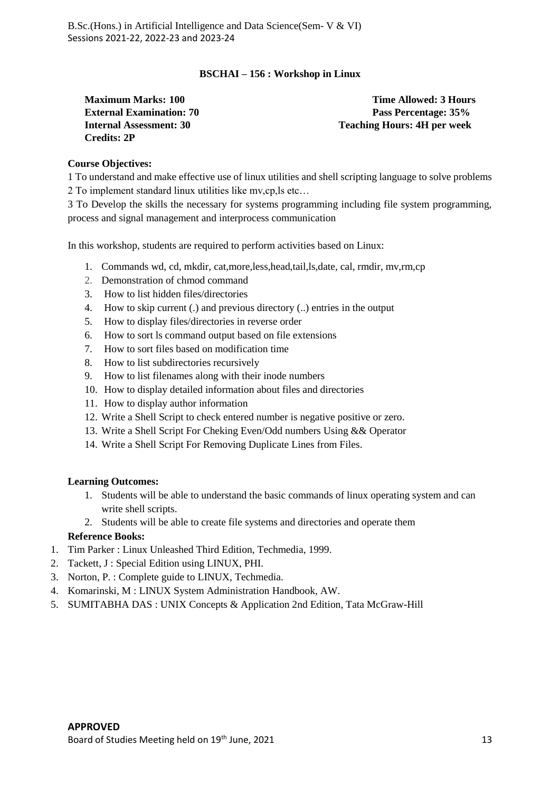#### **BSCHAI – 156 : Workshop in Linux**

**Maximum Marks: 100 Time Allowed: 3 Hours Credits: 2P**

**External Examination: 70 Pass Percentage: 35% Internal Assessment: 30 Teaching Hours: 4H per week**

#### **Course Objectives:**

1 To understand and make effective use of linux utilities and shell scripting language to solve problems 2 To implement standard linux utilities like mv,cp,ls etc…

3 To Develop the skills the necessary for systems programming including file system programming, process and signal management and interprocess communication

In this workshop, students are required to perform activities based on Linux:

- 1. Commands wd, cd, mkdir, cat,more,less,head,tail,ls,date, cal, rmdir, mv,rm,cp
- 2. Demonstration of chmod command
- 3. [How to list hidden files/directories](https://www.howtoforge.com/linux-ls-command/#-how-to-list-hidden-filesdirectories)
- 4. [How to skip current \(.\) and previous directory \(..\) entries](https://www.howtoforge.com/linux-ls-command/#-how-to-skip-current-and-previous-directory-entriesnbspin-the-output) in the output
- 5. [How to display files/directories in reverse order](https://www.howtoforge.com/linux-ls-command/#-how-to-display-filesdirectories-in-reverse-order)
- 6. [How to sort ls command output based on file extensions](https://www.howtoforge.com/linux-ls-command/#-how-to-sort-ls-command-output-based-on-file-extensions)
- 7. [How to sort files based on modification time](https://www.howtoforge.com/linux-ls-command/#-how-to-sort-files-based-on-modification-time)
- 8. [How to list subdirectories recursively](https://www.howtoforge.com/linux-ls-command/#-how-to-list-subdirectories-recursively)
- 9. [How to list filenames along with their inode numbers](https://www.howtoforge.com/linux-ls-command/#-how-to-list-filenames-along-with-their-inode-numbers)
- 10. [How to display detailed information about files and directories](https://www.howtoforge.com/linux-ls-command/#-how-to-display-detailed-information-about-files-and-directories)
- 11. [How to display author information](https://www.howtoforge.com/linux-ls-command/#-how-to-display-author-information)
- 12. Write a Shell Script to check entered number is negative positive or zero.
- 13. Write a Shell Script For Cheking Even/Odd numbers Using && Operator
- 14. Write a Shell Script For Removing Duplicate Lines from Files.

#### **Learning Outcomes:**

- 1. Students will be able to understand the basic commands of linux operating system and can write shell scripts.
- 2. Students will be able to create file systems and directories and operate them

- 1. Tim Parker : Linux Unleashed Third Edition, Techmedia, 1999.
- 2. Tackett, J : Special Edition using LINUX, PHI.
- 3. Norton, P. : Complete guide to LINUX, Techmedia.
- 4. Komarinski, M : LINUX System Administration Handbook, AW.
- 5. SUMITABHA DAS : UNIX Concepts & Application 2nd Edition, Tata McGraw-Hill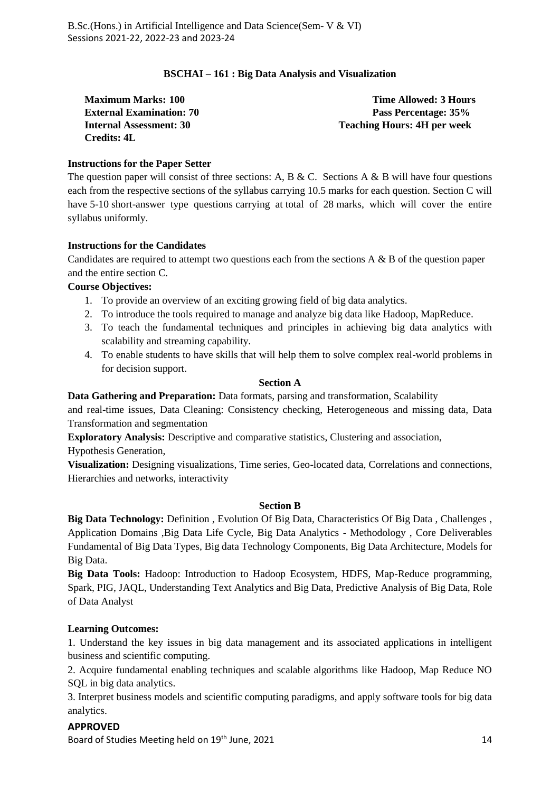#### **BSCHAI – 161 : Big Data Analysis and Visualization**

**Credits: 4L**

**Maximum Marks: 100 Time Allowed: 3 Hours External Examination: 70 Pass Percentage: 35% Internal Assessment: 30 Teaching Hours: 4H per week**

#### **Instructions for the Paper Setter**

The question paper will consist of three sections: A, B & C. Sections A & B will have four questions each from the respective sections of the syllabus carrying 10.5 marks for each question. Section C will have 5-10 short-answer type questions carrying at total of 28 marks, which will cover the entire syllabus uniformly.

#### **Instructions for the Candidates**

Candidates are required to attempt two questions each from the sections  $A \& B$  of the question paper and the entire section C.

#### **Course Objectives:**

- 1. To provide an overview of an exciting growing field of big data analytics.
- 2. To introduce the tools required to manage and analyze big data like Hadoop, MapReduce.
- 3. To teach the fundamental techniques and principles in achieving big data analytics with scalability and streaming capability.
- 4. To enable students to have skills that will help them to solve complex real-world problems in for decision support.

#### **Section A**

**Data Gathering and Preparation:** Data formats, parsing and transformation, Scalability

and real-time issues, Data Cleaning: Consistency checking, Heterogeneous and missing data, Data Transformation and segmentation

**Exploratory Analysis:** Descriptive and comparative statistics, Clustering and association, Hypothesis Generation,

**Visualization:** Designing visualizations, Time series, Geo-located data, Correlations and connections, Hierarchies and networks, interactivity

#### **Section B**

**Big Data Technology:** Definition , Evolution Of Big Data, Characteristics Of Big Data , Challenges , Application Domains ,Big Data Life Cycle, Big Data Analytics - Methodology , Core Deliverables Fundamental of Big Data Types, Big data Technology Components, Big Data Architecture, Models for Big Data.

**Big Data Tools:** Hadoop: Introduction to Hadoop Ecosystem, HDFS, Map-Reduce programming, Spark, PIG, JAQL, Understanding Text Analytics and Big Data, Predictive Analysis of Big Data, Role of Data Analyst

#### **Learning Outcomes:**

1. Understand the key issues in big data management and its associated applications in intelligent business and scientific computing.

2. Acquire fundamental enabling techniques and scalable algorithms like Hadoop, Map Reduce NO SQL in big data analytics.

3. Interpret business models and scientific computing paradigms, and apply software tools for big data analytics.

#### **APPROVED**

Board of Studies Meeting held on 19<sup>th</sup> June, 2021 14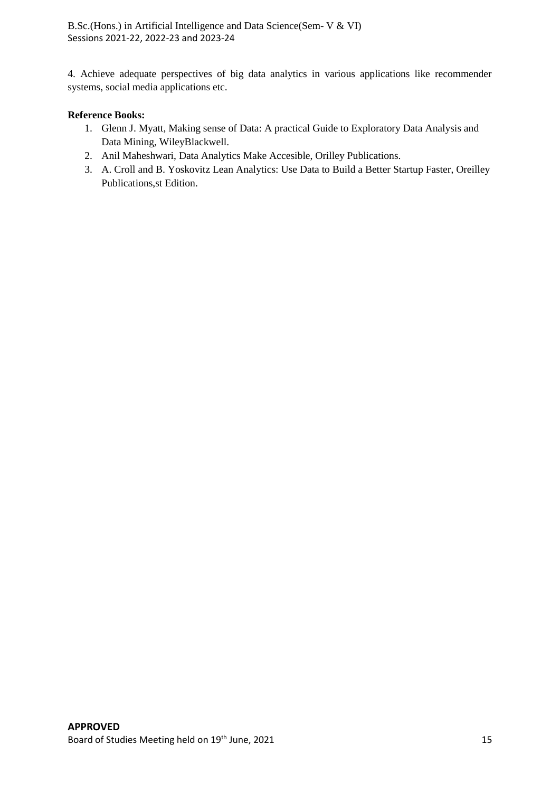4. Achieve adequate perspectives of big data analytics in various applications like recommender systems, social media applications etc.

- 1. Glenn J. Myatt, Making sense of Data: A practical Guide to Exploratory Data Analysis and Data Mining, WileyBlackwell.
- 2. Anil Maheshwari, Data Analytics Make Accesible, Orilley Publications.
- 3. A. Croll and B. Yoskovitz Lean Analytics: Use Data to Build a Better Startup Faster, Oreilley Publications,st Edition.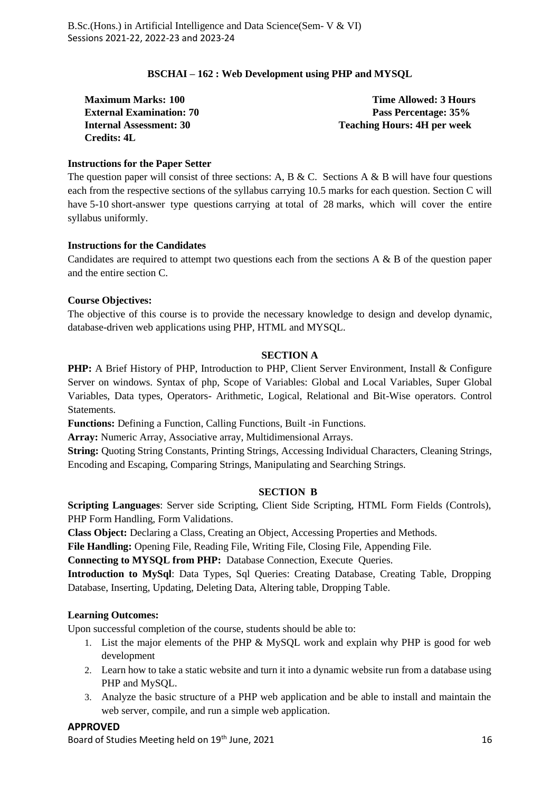#### **BSCHAI – 162 : Web Development using PHP and MYSQL**

**Credits: 4L**

**Maximum Marks: 100 Time Allowed: 3 Hours External Examination: 70 Pass Percentage: 35% Internal Assessment: 30 Teaching Hours: 4H per week**

#### **Instructions for the Paper Setter**

The question paper will consist of three sections: A, B & C. Sections A & B will have four questions each from the respective sections of the syllabus carrying 10.5 marks for each question. Section C will have 5-10 short-answer type questions carrying at total of 28 marks, which will cover the entire syllabus uniformly.

#### **Instructions for the Candidates**

Candidates are required to attempt two questions each from the sections  $A \& B$  of the question paper and the entire section C.

#### **Course Objectives:**

The objective of this course is to provide the necessary knowledge to design and develop dynamic, database-driven web applications using PHP, HTML and MYSQL.

#### **SECTION A**

**PHP:** A Brief History of PHP, Introduction to PHP, Client Server Environment, Install & Configure Server on windows. Syntax of php, Scope of Variables: Global and Local Variables, Super Global Variables, Data types, Operators- Arithmetic, Logical, Relational and Bit-Wise operators. Control Statements.

**Functions:** Defining a Function, Calling Functions, Built -in Functions.

**Array:** Numeric Array, Associative array, Multidimensional Arrays.

**String:** Quoting String Constants, Printing Strings, Accessing Individual Characters, Cleaning Strings, Encoding and Escaping, Comparing Strings, Manipulating and Searching Strings.

#### **SECTION B**

**Scripting Languages**: Server side Scripting, Client Side Scripting, HTML Form Fields (Controls), PHP Form Handling, Form Validations.

**Class Object:** Declaring a Class, Creating an Object, Accessing Properties and Methods.

**File Handling:** Opening File, Reading File, Writing File, Closing File, Appending File.

**Connecting to MYSQL from PHP:** Database Connection, Execute Queries.

**Introduction to MySql**: Data Types, Sql Queries: Creating Database, Creating Table, Dropping Database, Inserting, Updating, Deleting Data, Altering table, Dropping Table.

#### **Learning Outcomes:**

Upon successful completion of the course, students should be able to:

- 1. List the major elements of the PHP & MySQL work and explain why PHP is good for web development
- 2. Learn how to take a static website and turn it into a dynamic website run from a database using PHP and MySQL.
- 3. Analyze the basic structure of a PHP web application and be able to install and maintain the web server, compile, and run a simple web application.

### **APPROVED**

Board of Studies Meeting held on 19<sup>th</sup> June, 2021 16 and the studies of the studies of the studies of the studies of the studies of the studies of the studies of the studies of the studies of the studies of the studies of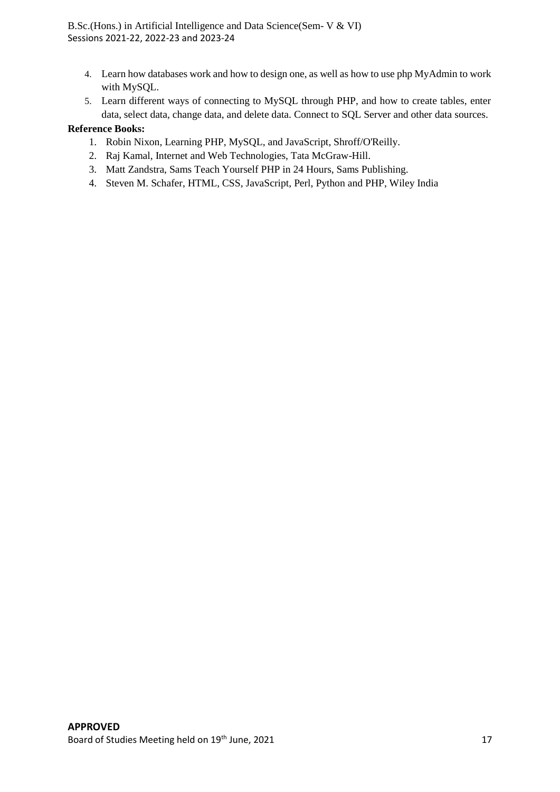- 4. Learn how databases work and how to design one, as well as how to use php MyAdmin to work with MySQL.
- 5. Learn different ways of connecting to MySQL through PHP, and how to create tables, enter data, select data, change data, and delete data. Connect to SQL Server and other data sources.

- 1. Robin Nixon, Learning PHP, MySQL, and JavaScript, Shroff/O'Reilly.
- 2. Raj Kamal, Internet and Web Technologies, Tata McGraw-Hill.
- 3. Matt Zandstra, Sams Teach Yourself PHP in 24 Hours, Sams Publishing.
- 4. Steven M. Schafer, HTML, CSS, JavaScript, Perl, Python and PHP, Wiley India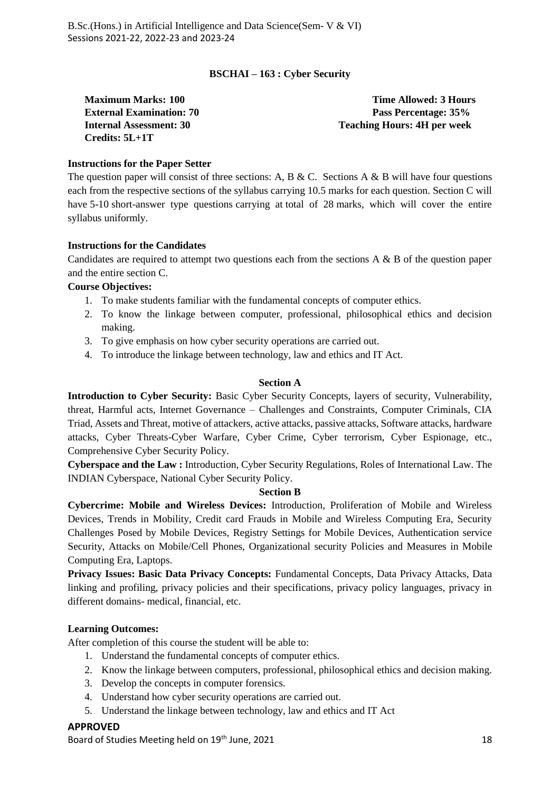#### **BSCHAI – 163 : Cyber Security**

**Credits: 5L+1T**

**Maximum Marks: 100 Time Allowed: 3 Hours External Examination: 70 Pass Percentage: 35% Internal Assessment: 30 Teaching Hours: 4H per week**

#### **Instructions for the Paper Setter**

The question paper will consist of three sections: A, B & C. Sections A & B will have four questions each from the respective sections of the syllabus carrying 10.5 marks for each question. Section C will have 5-10 short-answer type questions carrying at total of 28 marks, which will cover the entire syllabus uniformly.

#### **Instructions for the Candidates**

Candidates are required to attempt two questions each from the sections  $A \& B$  of the question paper and the entire section C.

#### **Course Objectives:**

- 1. To make students familiar with the fundamental concepts of computer ethics.
- 2. To know the linkage between computer, professional, philosophical ethics and decision making.
- 3. To give emphasis on how cyber security operations are carried out.
- 4. To introduce the linkage between technology, law and ethics and IT Act.

#### **Section A**

**Introduction to Cyber Security:** Basic Cyber Security Concepts, layers of security, Vulnerability, threat, Harmful acts, Internet Governance – Challenges and Constraints, Computer Criminals, CIA Triad, Assets and Threat, motive of attackers, active attacks, passive attacks, Software attacks, hardware attacks, Cyber Threats-Cyber Warfare, Cyber Crime, Cyber terrorism, Cyber Espionage, etc., Comprehensive Cyber Security Policy.

**Cyberspace and the Law :** Introduction, Cyber Security Regulations, Roles of International Law. The INDIAN Cyberspace, National Cyber Security Policy.

#### **Section B**

**Cybercrime: Mobile and Wireless Devices:** Introduction, Proliferation of Mobile and Wireless Devices, Trends in Mobility, Credit card Frauds in Mobile and Wireless Computing Era, Security Challenges Posed by Mobile Devices, Registry Settings for Mobile Devices, Authentication service Security, Attacks on Mobile/Cell Phones, Organizational security Policies and Measures in Mobile Computing Era, Laptops.

**Privacy Issues: Basic Data Privacy Concepts:** Fundamental Concepts, Data Privacy Attacks, Data linking and profiling, privacy policies and their specifications, privacy policy languages, privacy in different domains- medical, financial, etc.

#### **Learning Outcomes:**

After completion of this course the student will be able to:

- 1. Understand the fundamental concepts of computer ethics.
- 2. Know the linkage between computers, professional, philosophical ethics and decision making.
- 3. Develop the concepts in computer forensics.
- 4. Understand how cyber security operations are carried out.
- 5. Understand the linkage between technology, law and ethics and IT Act

#### **APPROVED**

Board of Studies Meeting held on 19<sup>th</sup> June, 2021 18 and the studies of the studies of the studies of the studies of the studies of the studies of the studies of the studies of the studies of the studies of the studies of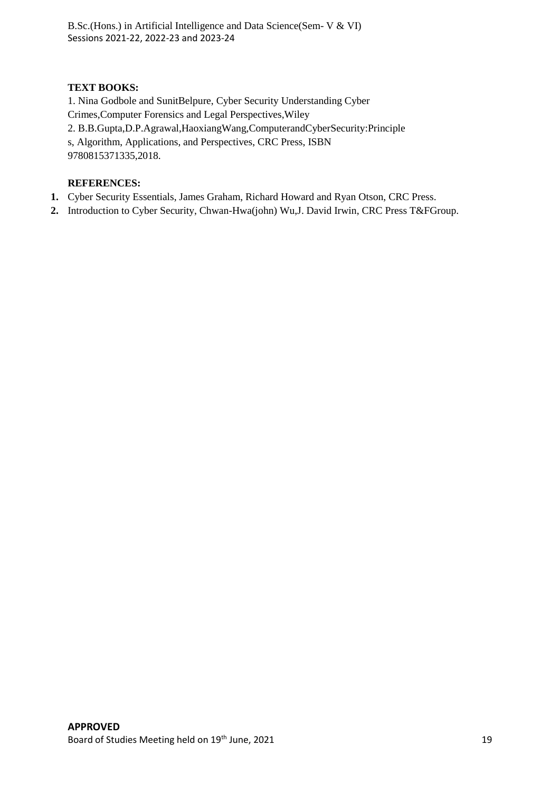#### **TEXT BOOKS:**

1. Nina Godbole and SunitBelpure, Cyber Security Understanding Cyber Crimes,Computer Forensics and Legal Perspectives,Wiley 2. B.B.Gupta,D.P.Agrawal,HaoxiangWang,ComputerandCyberSecurity:Principle s, Algorithm, Applications, and Perspectives, CRC Press, ISBN 9780815371335,2018.

#### **REFERENCES:**

- **1.** Cyber Security Essentials, James Graham, Richard Howard and Ryan Otson, CRC Press.
- **2.** Introduction to Cyber Security, Chwan-Hwa(john) Wu,J. David Irwin, CRC Press T&FGroup.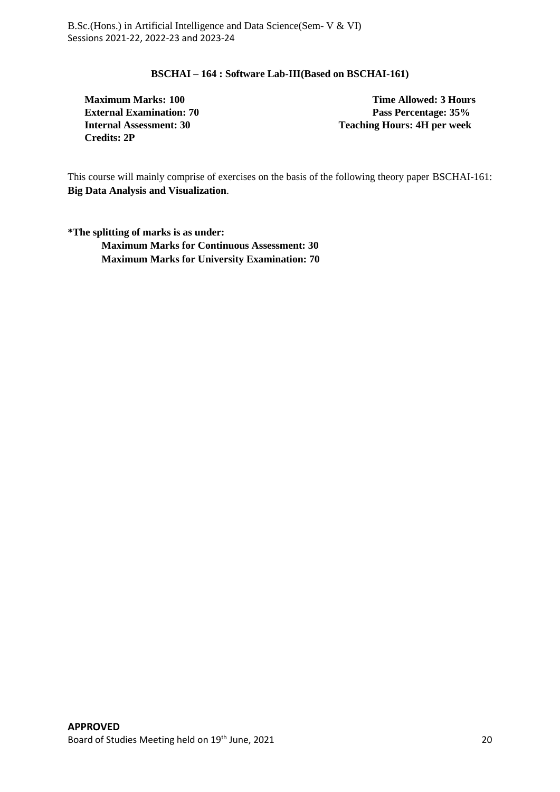#### **BSCHAI – 164 : Software Lab-III(Based on BSCHAI-161)**

**Maximum Marks: 100 Time Allowed: 3 Hours Credits: 2P**

**External Examination: 70 Pass Percentage: 35% Internal Assessment: 30 Teaching Hours: 4H per week**

This course will mainly comprise of exercises on the basis of the following theory paper BSCHAI-161: **Big Data Analysis and Visualization**.

**\*The splitting of marks is as under: Maximum Marks for Continuous Assessment: 30 Maximum Marks for University Examination: 70**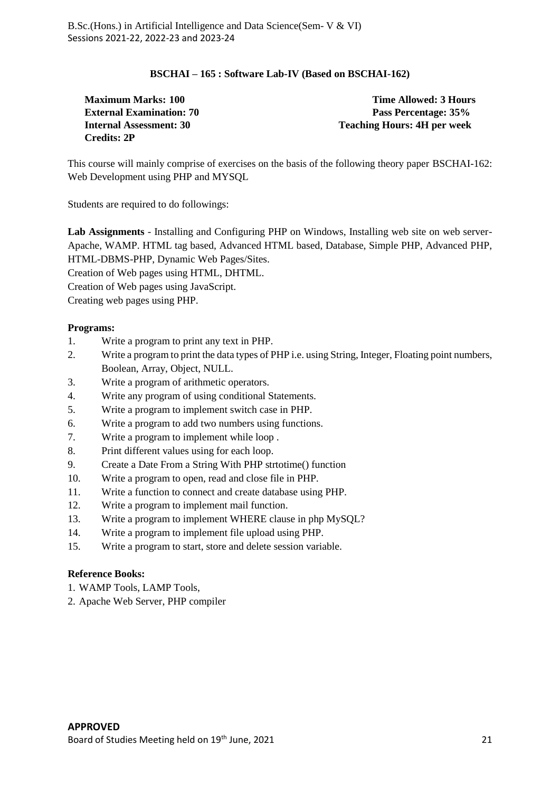#### **BSCHAI – 165 : Software Lab-IV (Based on BSCHAI-162)**

**Credits: 2P**

**Maximum Marks: 100 Time Allowed: 3 Hours External Examination: 70 Pass Percentage: 35% Internal Assessment: 30 Teaching Hours: 4H per week**

This course will mainly comprise of exercises on the basis of the following theory paper BSCHAI-162: Web Development using PHP and MYSQL

Students are required to do followings:

**Lab Assignments** - Installing and Configuring PHP on Windows, Installing web site on web server-Apache, WAMP. HTML tag based, Advanced HTML based, Database, Simple PHP, Advanced PHP, HTML-DBMS-PHP, Dynamic Web Pages/Sites. Creation of Web pages using HTML, DHTML.

Creation of Web pages using JavaScript.

Creating web pages using PHP.

#### **Programs:**

- 1. Write a program to print any text in PHP.
- 2. Write a program to print the data types of PHP i.e. using String, Integer, Floating point numbers, Boolean, Array, Object, NULL.
- 3. Write a program of arithmetic operators.
- 4. Write any program of using conditional Statements.
- 5. Write a program to implement switch case in PHP.
- 6. Write a program to add two numbers using functions.
- 7. Write a program to implement while loop .
- 8. Print different values using for each loop.
- 9. Create a Date From a String With PHP strtotime() function
- 10. Write a program to open, read and close file in PHP.
- 11. Write a function to connect and create database using PHP.
- 12. Write a program to implement mail function.
- 13. Write a program to implement WHERE clause in php MySQL?
- 14. Write a program to implement file upload using PHP.
- 15. Write a program to start, store and delete session variable.

- 1. WAMP Tools, LAMP Tools,
- 2. Apache Web Server, PHP compiler